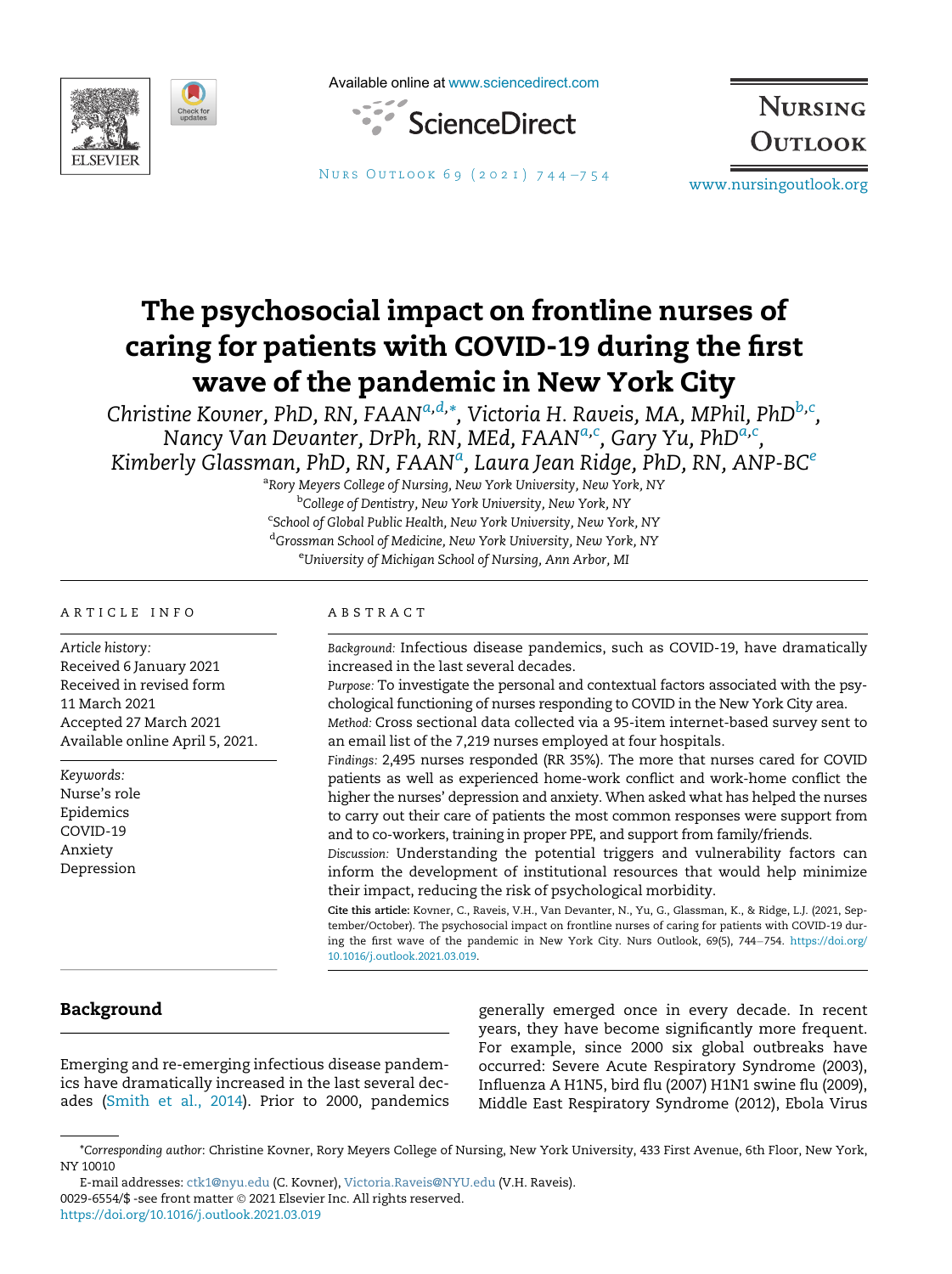

Available online at [www.sciencedirect.com](http://www.sciencedirect.com)



**NURSING** OUTLOOK

NURS OUTLOOK 69 (2021) 744-[754](https://doi.org/10.1016/j.outlook.2021.03.019) [www.nursingoutlook.org](http://www.nursingoutlook.org)

# The psychosocial impact on frontline nurses of caring for patients with COVID-19 during the first wave of the pandemic in New York City

<span id="page-0-0"></span>Christine Kovner, PhD, RN, FAAN<sup>[a,](#page-0-0)[d](#page-0-1),</sup>[\\*](#page-0-2), Victoria H. Raveis, MA, MPhil, PhD<sup>[b](#page-0-3),[c](#page-0-4)</sup>, N[a](#page-0-0)ncy Van Devanter, DrPh, RN, MEd, FAAN<sup>a[,c](#page-0-4)</sup>, Gary Yu, PhD<sup>a,c</sup>, Kimberly Gl[a](#page-0-0)ssman, PhD, RN, F $\mathsf{AAN}^a$ , Laura J[e](#page-0-5)an Ridge, PhD, RN,  $\mathsf{ANP\text{-}BC}^e$ 

> <sup>a</sup>Rory Meyers College of Nursing, New York University, New York, NY <sup>b</sup>College of Dentistry, New York University, New York, NY <sup>c</sup>School of Global Public Health, New York University, New York, NY <sup>d</sup>Grossman School of Medicine, New York University, New York, NY <sup>e</sup>University of Michigan School of Nursing, Ann Arbor, MI

#### <span id="page-0-5"></span><span id="page-0-4"></span><span id="page-0-3"></span><span id="page-0-1"></span>ARTICLE INFO

Article history: Received 6 January 2021 Received in revised form 11 March 2021 Accepted 27 March 2021 Available online April 5, 2021.

Keywords: Nurse's role Epidemics COVID-19 Anxiety Depression

## ABSTRACT

Background: Infectious disease pandemics, such as COVID-19, have dramatically increased in the last several decades.

Purpose: To investigate the personal and contextual factors associated with the psychological functioning of nurses responding to COVID in the New York City area.

Method: Cross sectional data collected via a 95-item internet-based survey sent to an email list of the 7,219 nurses employed at four hospitals.

Findings: 2,495 nurses responded (RR 35%). The more that nurses cared for COVID patients as well as experienced home-work conflict and work-home conflict the higher the nurses' depression and anxiety. When asked what has helped the nurses to carry out their care of patients the most common responses were support from and to co-workers, training in proper PPE, and support from family/friends.

Discussion: Understanding the potential triggers and vulnerability factors can inform the development of institutional resources that would help minimize their impact, reducing the risk of psychological morbidity.

Cite this article: Kovner, C., Raveis, V.H., Van Devanter, N., Yu, G., Glassman, K., & Ridge, L.J. (2021, September/October). The psychosocial impact on frontline nurses of caring for patients with COVID-19 during the first wave of the pandemic in New York City. Nurs Outlook, 69(5), 744-754. [https://doi.org/](https://doi.org/10.1016/j.outlook.2021.03.019) [10.1016/j.outlook.2021.03.019.](https://doi.org/10.1016/j.outlook.2021.03.019)

# Background

Emerging and re-emerging infectious disease pandemics have dramatically increased in the last several decades [\(Smith et al., 2014](#page-10-0)). Prior to 2000, pandemics

generally emerged once in every decade. In recent years, they have become significantly more frequent. For example, since 2000 six global outbreaks have occurred: Severe Acute Respiratory Syndrome (2003), Influenza A H1N5, bird flu (2007) H1N1 swine flu (2009), Middle East Respiratory Syndrome (2012), Ebola Virus

<span id="page-0-2"></span><sup>\*</sup>Corresponding author: Christine Kovner, Rory Meyers College of Nursing, New York University, 433 First Avenue, 6th Floor, New York, NY 10010

E-mail addresses: [ctk1@nyu.edu](mailto:ctk1@nyu.edu) (C. Kovner), [Victoria.Raveis@NYU.edu](mailto:Victoria.Raveis@NYU.edu) (V.H. Raveis). 0029-6554/\$ -see front matter 2021 Elsevier Inc. All rights reserved. <https://doi.org/10.1016/j.outlook.2021.03.019>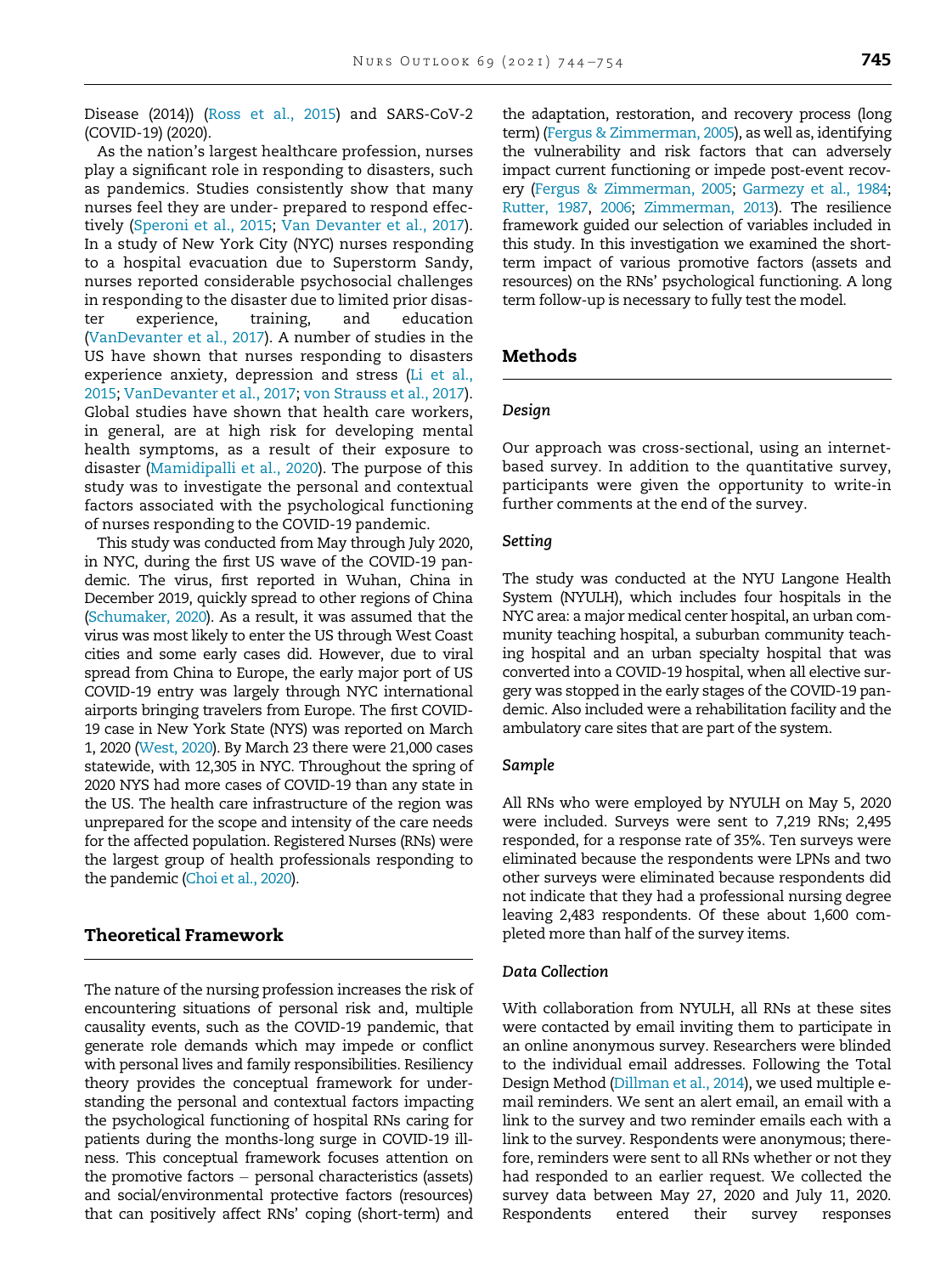Disease (2014)) ([Ross et al., 2015\)](#page-10-1) and SARS-CoV-2 (COVID-19) (2020).

As the nation's largest healthcare profession, nurses play a significant role in responding to disasters, such as pandemics. Studies consistently show that many nurses feel they are under- prepared to respond effectively [\(Speroni et al., 2015](#page-10-2); [Van Devanter et al., 2017\)](#page-10-3). In a study of New York City (NYC) nurses responding to a hospital evacuation due to Superstorm Sandy, nurses reported considerable psychosocial challenges in responding to the disaster due to limited prior disaster experience, training, and education ([VanDevanter et al., 2017\)](#page-10-3). A number of studies in the US have shown that nurses responding to disasters experience anxiety, depression and stress [\(Li et al.,](#page-10-4) [2015;](#page-10-4) [VanDevanter et al., 2017;](#page-10-3) [von Strauss et al., 2017\)](#page-10-5). Global studies have shown that health care workers, in general, are at high risk for developing mental health symptoms, as a result of their exposure to disaster [\(Mamidipalli et al., 2020](#page-10-6)). The purpose of this study was to investigate the personal and contextual factors associated with the psychological functioning of nurses responding to the COVID-19 pandemic.

This study was conducted from May through July 2020, in NYC, during the first US wave of the COVID-19 pandemic. The virus, first reported in Wuhan, China in December 2019, quickly spread to other regions of China [\(Schumaker, 2020\)](#page-10-7). As a result, it was assumed that the virus was most likely to enter the US through West Coast cities and some early cases did. However, due to viral spread from China to Europe, the early major port of US COVID-19 entry was largely through NYC international airports bringing travelers from Europe. The first COVID-19 case in New York State (NYS) was reported on March 1, 2020 [\(West, 2020\)](#page-10-8). By March 23 there were 21,000 cases statewide, with 12,305 in NYC. Throughout the spring of 2020 NYS had more cases of COVID-19 than any state in the US. The health care infrastructure of the region was unprepared for the scope and intensity of the care needs for the affected population. Registered Nurses (RNs) were the largest group of health professionals responding to the pandemic [\(Choi et al., 2020](#page-10-9)).

# Theoretical Framework

The nature of the nursing profession increases the risk of encountering situations of personal risk and, multiple causality events, such as the COVID-19 pandemic, that generate role demands which may impede or conflict with personal lives and family responsibilities. Resiliency theory provides the conceptual framework for understanding the personal and contextual factors impacting the psychological functioning of hospital RNs caring for patients during the months-long surge in COVID-19 illness. This conceptual framework focuses attention on the promotive factors  $-$  personal characteristics (assets) and social/environmental protective factors (resources) that can positively affect RNs' coping (short-term) and

the adaptation, restoration, and recovery process (long term) [\(Fergus & Zimmerman, 2005](#page-10-10)), as well as, identifying the vulnerability and risk factors that can adversely impact current functioning or impede post-event recovery [\(Fergus & Zimmerman, 2005](#page-10-10); [Garmezy et al., 1984](#page-10-11); [Rutter, 1987](#page-10-12), [2006](#page-10-13); [Zimmerman, 2013\)](#page-10-14). The resilience framework guided our selection of variables included in this study. In this investigation we examined the shortterm impact of various promotive factors (assets and resources) on the RNs' psychological functioning. A long term follow-up is necessary to fully test the model.

# Methods

#### Design

Our approach was cross-sectional, using an internetbased survey. In addition to the quantitative survey, participants were given the opportunity to write-in further comments at the end of the survey.

#### Setting

The study was conducted at the NYU Langone Health System (NYULH), which includes four hospitals in the NYC area: a major medical center hospital, an urban community teaching hospital, a suburban community teaching hospital and an urban specialty hospital that was converted into a COVID-19 hospital, when all elective surgery was stopped in the early stages of the COVID-19 pandemic. Also included were a rehabilitation facility and the ambulatory care sites that are part of the system.

#### Sample

All RNs who were employed by NYULH on May 5, 2020 were included. Surveys were sent to 7,219 RNs; 2,495 responded, for a response rate of 35%. Ten surveys were eliminated because the respondents were LPNs and two other surveys were eliminated because respondents did not indicate that they had a professional nursing degree leaving 2,483 respondents. Of these about 1,600 completed more than half of the survey items.

#### Data Collection

With collaboration from NYULH, all RNs at these sites were contacted by email inviting them to participate in an online anonymous survey. Researchers were blinded to the individual email addresses. Following the Total Design Method [\(Dillman et al., 2014](#page-10-15)), we used multiple email reminders. We sent an alert email, an email with a link to the survey and two reminder emails each with a link to the survey. Respondents were anonymous; therefore, reminders were sent to all RNs whether or not they had responded to an earlier request. We collected the survey data between May 27, 2020 and July 11, 2020. Respondents entered their survey responses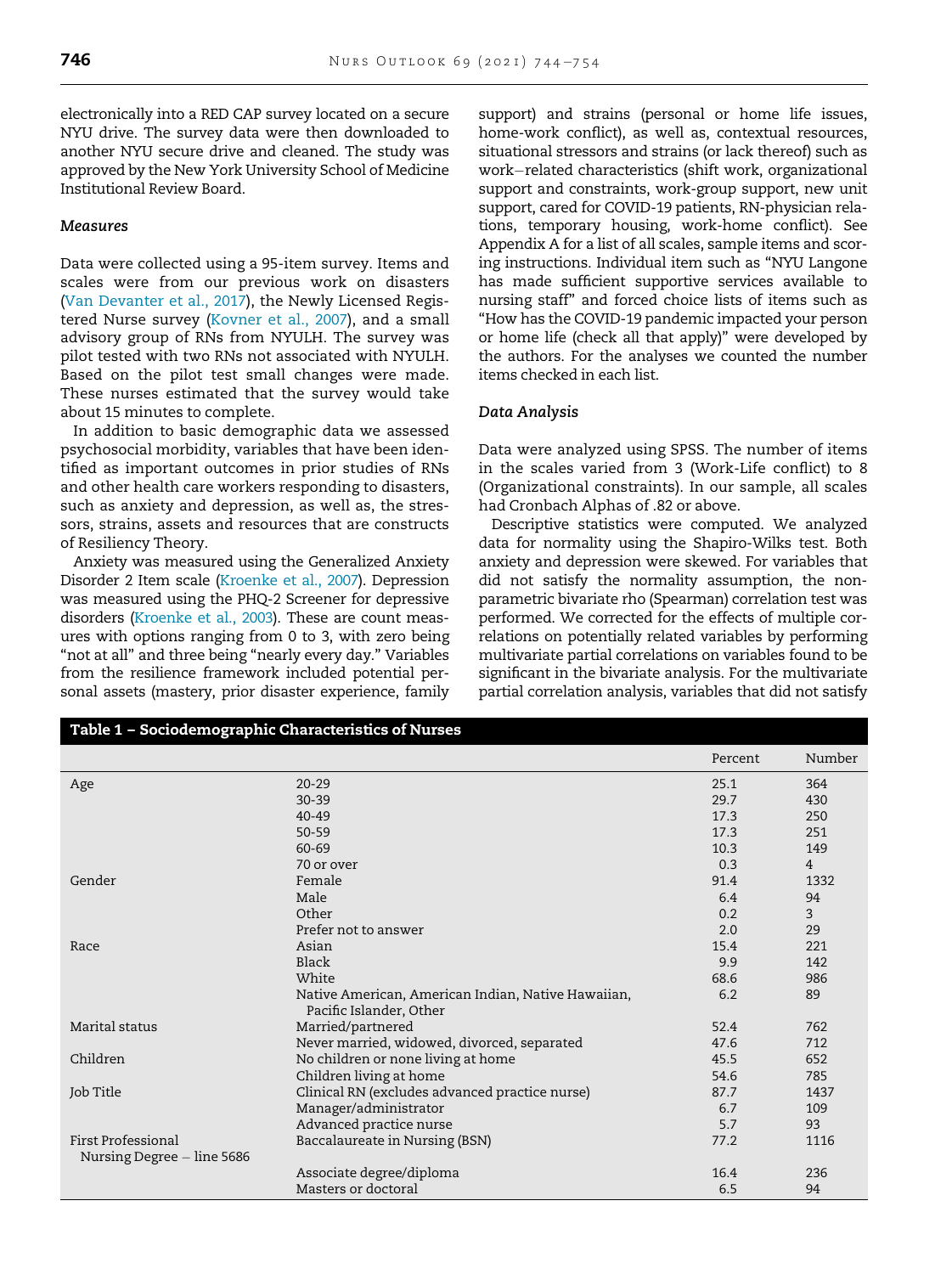electronically into a RED CAP survey located on a secure NYU drive. The survey data were then downloaded to another NYU secure drive and cleaned. The study was approved by the New York University School of Medicine Institutional Review Board.

## **Measures**

Data were collected using a 95-item survey. Items and scales were from our previous work on disasters ([Van Devanter et al., 2017](#page-10-3)), the Newly Licensed Registered Nurse survey [\(Kovner et al., 2007\)](#page-10-16), and a small advisory group of RNs from NYULH. The survey was pilot tested with two RNs not associated with NYULH. Based on the pilot test small changes were made. These nurses estimated that the survey would take about 15 minutes to complete.

In addition to basic demographic data we assessed psychosocial morbidity, variables that have been identified as important outcomes in prior studies of RNs and other health care workers responding to disasters, such as anxiety and depression, as well as, the stressors, strains, assets and resources that are constructs of Resiliency Theory.

Anxiety was measured using the Generalized Anxiety Disorder 2 Item scale [\(Kroenke et al., 2007](#page-10-17)). Depression was measured using the PHQ-2 Screener for depressive disorders [\(Kroenke et al., 2003\)](#page-10-18). These are count measures with options ranging from 0 to 3, with zero being "not at all" and three being "nearly every day." Variables from the resilience framework included potential personal assets (mastery, prior disaster experience, family support) and strains (personal or home life issues, home-work conflict), as well as, contextual resources, situational stressors and strains (or lack thereof) such as work-related characteristics (shift work, organizational support and constraints, work-group support, new unit support, cared for COVID-19 patients, RN-physician relations, temporary housing, work-home conflict). See Appendix A for a list of all scales, sample items and scoring instructions. Individual item such as "NYU Langone has made sufficient supportive services available to nursing staff" and forced choice lists of items such as "How has the COVID-19 pandemic impacted your person or home life (check all that apply)" were developed by the authors. For the analyses we counted the number items checked in each list.

## Data Analysis

Data were analyzed using SPSS. The number of items in the scales varied from 3 (Work-Life conflict) to 8 (Organizational constraints). In our sample, all scales had Cronbach Alphas of .82 or above.

Descriptive statistics were computed. We analyzed data for normality using the Shapiro-Wilks test. Both anxiety and depression were skewed. For variables that did not satisfy the normality assumption, the nonparametric bivariate rho (Spearman) correlation test was performed. We corrected for the effects of multiple correlations on potentially related variables by performing multivariate partial correlations on variables found to be significant in the bivariate analysis. For the multivariate partial correlation analysis, variables that did not satisfy

|                            |                                                                               | Percent | Number         |
|----------------------------|-------------------------------------------------------------------------------|---------|----------------|
| Age                        | $20 - 29$                                                                     | 25.1    | 364            |
|                            | $30 - 39$                                                                     | 29.7    | 430            |
|                            | $40 - 49$                                                                     | 17.3    | 250            |
|                            | 50-59                                                                         | 17.3    | 251            |
|                            | 60-69                                                                         | 10.3    | 149            |
|                            | 70 or over                                                                    | 0.3     | $\overline{4}$ |
| Gender                     | Female                                                                        | 91.4    | 1332           |
|                            | Male                                                                          | 6.4     | 94             |
|                            | Other                                                                         | 0.2     | 3              |
|                            | Prefer not to answer                                                          | 2.0     | 29             |
| Race                       | Asian                                                                         | 15.4    | 221            |
|                            | Black                                                                         | 9.9     | 142            |
|                            | White                                                                         | 68.6    | 986            |
|                            | Native American, American Indian, Native Hawaiian,<br>Pacific Islander, Other | 6.2     | 89             |
| Marital status             | Married/partnered                                                             | 52.4    | 762            |
|                            | Never married, widowed, divorced, separated                                   | 47.6    | 712            |
| Children                   | No children or none living at home                                            | 45.5    | 652            |
|                            | Children living at home                                                       | 54.6    | 785            |
| Job Title                  | Clinical RN (excludes advanced practice nurse)                                | 87.7    | 1437           |
|                            | Manager/administrator                                                         | 6.7     | 109            |
|                            | Advanced practice nurse                                                       | 5.7     | 93             |
| First Professional         | Baccalaureate in Nursing (BSN)                                                | 77.2    | 1116           |
| Nursing Degree – line 5686 |                                                                               |         |                |
|                            | Associate degree/diploma                                                      | 16.4    | 236            |
|                            | Masters or doctoral                                                           | 6.5     | 94             |

## <span id="page-2-0"></span>Table 1 – Sociodemographic Characteristics of Nurses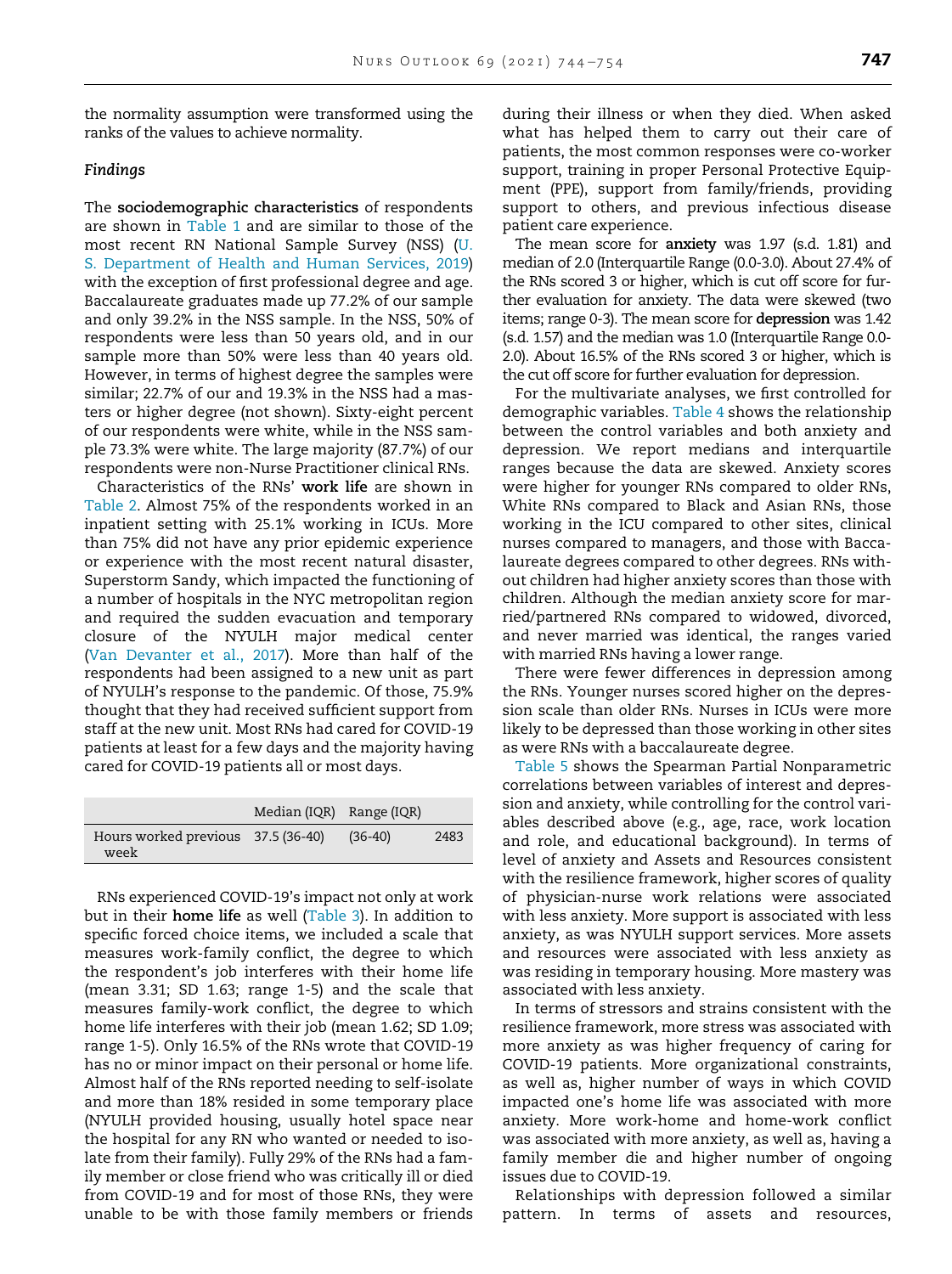the normality assumption were transformed using the ranks of the values to achieve normality.

## Findings

The sociodemographic characteristics of respondents are shown in [Table 1](#page-2-0) and are similar to those of the most recent RN National Sample Survey (NSS) ([U.](#page-10-19) [S. Department of Health and Human Services, 2019](#page-10-19)) with the exception of first professional degree and age. Baccalaureate graduates made up 77.2% of our sample and only 39.2% in the NSS sample. In the NSS, 50% of respondents were less than 50 years old, and in our sample more than 50% were less than 40 years old. However, in terms of highest degree the samples were similar; 22.7% of our and 19.3% in the NSS had a masters or higher degree (not shown). Sixty-eight percent of our respondents were white, while in the NSS sample 73.3% were white. The large majority (87.7%) of our respondents were non-Nurse Practitioner clinical RNs.

Characteristics of the RNs' work life are shown in [Table 2](#page-4-0). Almost 75% of the respondents worked in an inpatient setting with 25.1% working in ICUs. More than 75% did not have any prior epidemic experience or experience with the most recent natural disaster, Superstorm Sandy, which impacted the functioning of a number of hospitals in the NYC metropolitan region and required the sudden evacuation and temporary closure of the NYULH major medical center ([Van Devanter et al., 2017](#page-10-3)). More than half of the respondents had been assigned to a new unit as part of NYULH's response to the pandemic. Of those, 75.9% thought that they had received sufficient support from staff at the new unit. Most RNs had cared for COVID-19 patients at least for a few days and the majority having cared for COVID-19 patients all or most days.

|                                            | Median (IQR) Range (IQR) |           |      |
|--------------------------------------------|--------------------------|-----------|------|
| Hours worked previous 37.5 (36-40)<br>week |                          | $(36-40)$ | 2483 |

RNs experienced COVID-19's impact not only at work but in their home life as well ([Table 3](#page-5-0)). In addition to specific forced choice items, we included a scale that measures work-family conflict, the degree to which the respondent's job interferes with their home life (mean 3.31; SD 1.63; range 1-5) and the scale that measures family-work conflict, the degree to which home life interferes with their job (mean 1.62; SD 1.09; range 1-5). Only 16.5% of the RNs wrote that COVID-19 has no or minor impact on their personal or home life. Almost half of the RNs reported needing to self-isolate and more than 18% resided in some temporary place (NYULH provided housing, usually hotel space near the hospital for any RN who wanted or needed to isolate from their family). Fully 29% of the RNs had a family member or close friend who was critically ill or died from COVID-19 and for most of those RNs, they were unable to be with those family members or friends

during their illness or when they died. When asked what has helped them to carry out their care of patients, the most common responses were co-worker support, training in proper Personal Protective Equipment (PPE), support from family/friends, providing support to others, and previous infectious disease patient care experience.

The mean score for anxiety was 1.97 (s.d. 1.81) and median of 2.0 (Interquartile Range (0.0-3.0). About 27.4% of the RNs scored 3 or higher, which is cut off score for further evaluation for anxiety. The data were skewed (two items; range 0-3). The mean score for depression was 1.42 (s.d. 1.57) and the median was 1.0 (Interquartile Range 0.0- 2.0). About 16.5% of the RNs scored 3 or higher, which is the cut off score for further evaluation for depression.

For the multivariate analyses, we first controlled for demographic variables. [Table 4](#page-7-0) shows the relationship between the control variables and both anxiety and depression. We report medians and interquartile ranges because the data are skewed. Anxiety scores were higher for younger RNs compared to older RNs, White RNs compared to Black and Asian RNs, those working in the ICU compared to other sites, clinical nurses compared to managers, and those with Baccalaureate degrees compared to other degrees. RNs without children had higher anxiety scores than those with children. Although the median anxiety score for married/partnered RNs compared to widowed, divorced, and never married was identical, the ranges varied with married RNs having a lower range.

There were fewer differences in depression among the RNs. Younger nurses scored higher on the depression scale than older RNs. Nurses in ICUs were more likely to be depressed than those working in other sites as were RNs with a baccalaureate degree.

[Table 5](#page-8-0) shows the Spearman Partial Nonparametric correlations between variables of interest and depression and anxiety, while controlling for the control variables described above (e.g., age, race, work location and role, and educational background). In terms of level of anxiety and Assets and Resources consistent with the resilience framework, higher scores of quality of physician-nurse work relations were associated with less anxiety. More support is associated with less anxiety, as was NYULH support services. More assets and resources were associated with less anxiety as was residing in temporary housing. More mastery was associated with less anxiety.

In terms of stressors and strains consistent with the resilience framework, more stress was associated with more anxiety as was higher frequency of caring for COVID-19 patients. More organizational constraints, as well as, higher number of ways in which COVID impacted one's home life was associated with more anxiety. More work-home and home-work conflict was associated with more anxiety, as well as, having a family member die and higher number of ongoing issues due to COVID-19.

Relationships with depression followed a similar pattern. In terms of assets and resources,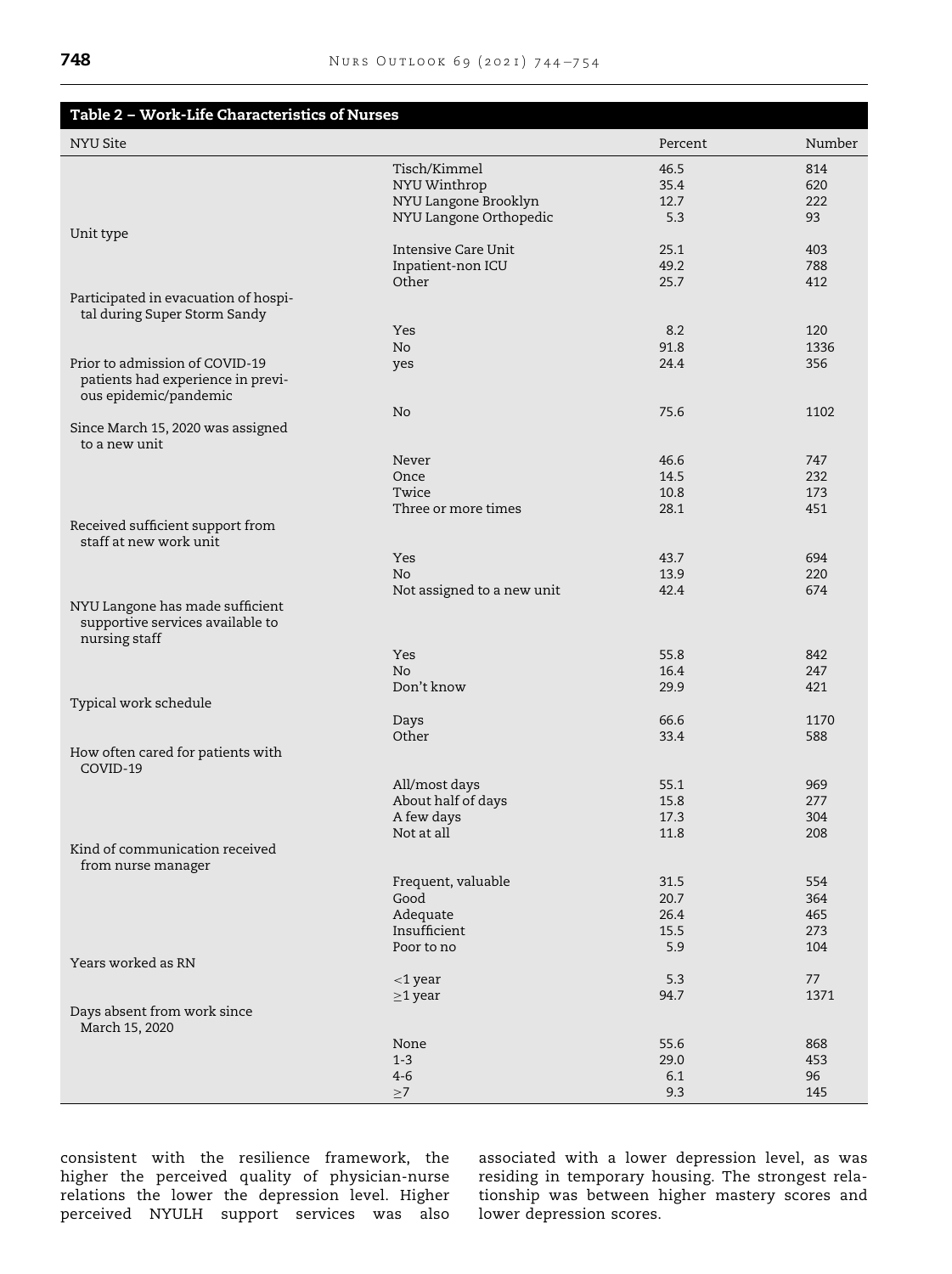<span id="page-4-0"></span>

| Table 2 - Work-Life Characteristics of Nurses                                        |                            |              |            |
|--------------------------------------------------------------------------------------|----------------------------|--------------|------------|
| NYU Site                                                                             |                            | Percent      | Number     |
|                                                                                      | Tisch/Kimmel               | 46.5         | 814        |
|                                                                                      | NYU Winthrop               | 35.4         | 620        |
|                                                                                      | NYU Langone Brooklyn       | 12.7         | 222        |
|                                                                                      | NYU Langone Orthopedic     | 5.3          | 93         |
| Unit type                                                                            |                            |              |            |
|                                                                                      | Intensive Care Unit        | 25.1<br>49.2 | 403<br>788 |
|                                                                                      | Inpatient-non ICU<br>Other | 25.7         | 412        |
| Participated in evacuation of hospi-                                                 |                            |              |            |
| tal during Super Storm Sandy                                                         |                            |              |            |
|                                                                                      | Yes                        | 8.2          | 120        |
|                                                                                      | No                         | 91.8         | 1336       |
| Prior to admission of COVID-19                                                       | yes                        | 24.4         | 356        |
| patients had experience in previ-<br>ous epidemic/pandemic                           |                            |              |            |
|                                                                                      | No                         | 75.6         | 1102       |
| Since March 15, 2020 was assigned                                                    |                            |              |            |
| to a new unit                                                                        |                            |              |            |
|                                                                                      | Never                      | 46.6         | 747        |
|                                                                                      | Once                       | 14.5         | 232        |
|                                                                                      | Twice                      | 10.8         | 173        |
|                                                                                      | Three or more times        | 28.1         | 451        |
| Received sufficient support from<br>staff at new work unit                           |                            |              |            |
|                                                                                      | Yes                        | 43.7         | 694        |
|                                                                                      | No.                        | 13.9         | 220        |
| NYU Langone has made sufficient<br>supportive services available to<br>nursing staff | Not assigned to a new unit | 42.4         | 674        |
|                                                                                      | Yes                        | 55.8         | 842        |
|                                                                                      | No.                        | 16.4         | 247        |
|                                                                                      | Don't know                 | 29.9         | 421        |
| Typical work schedule                                                                |                            |              |            |
|                                                                                      | Days                       | 66.6         | 1170       |
|                                                                                      | Other                      | 33.4         | 588        |
| How often cared for patients with<br>COVID-19                                        |                            |              |            |
|                                                                                      | All/most days              | 55.1         | 969        |
|                                                                                      | About half of days         | 15.8         | 277        |
|                                                                                      | A few days                 | 17.3         | 304        |
| Kind of communication received                                                       | Not at all                 | 11.8         | 208        |
| from nurse manager                                                                   |                            |              |            |
|                                                                                      | Frequent, valuable<br>Good | 31.5<br>20.7 | 554<br>364 |
|                                                                                      | Adequate                   | 26.4         | 465        |
|                                                                                      | Insufficient               | 15.5         | 273        |
|                                                                                      | Poor to no                 | 5.9          | 104        |
| Years worked as RN                                                                   |                            |              |            |
|                                                                                      | $<$ 1 year                 | 5.3          | 77         |
|                                                                                      | $\geq$ 1 year              | 94.7         | 1371       |
| Days absent from work since<br>March 15, 2020                                        |                            |              |            |
|                                                                                      | None                       | 55.6         | 868        |
|                                                                                      | $1 - 3$                    | 29.0         | 453        |
|                                                                                      | $4-6$                      | 6.1          | 96         |
|                                                                                      | $\geq 7$                   | 9.3          | 145        |

consistent with the resilience framework, the higher the perceived quality of physician-nurse relations the lower the depression level. Higher perceived NYULH support services was also

associated with a lower depression level, as was residing in temporary housing. The strongest relationship was between higher mastery scores and lower depression scores.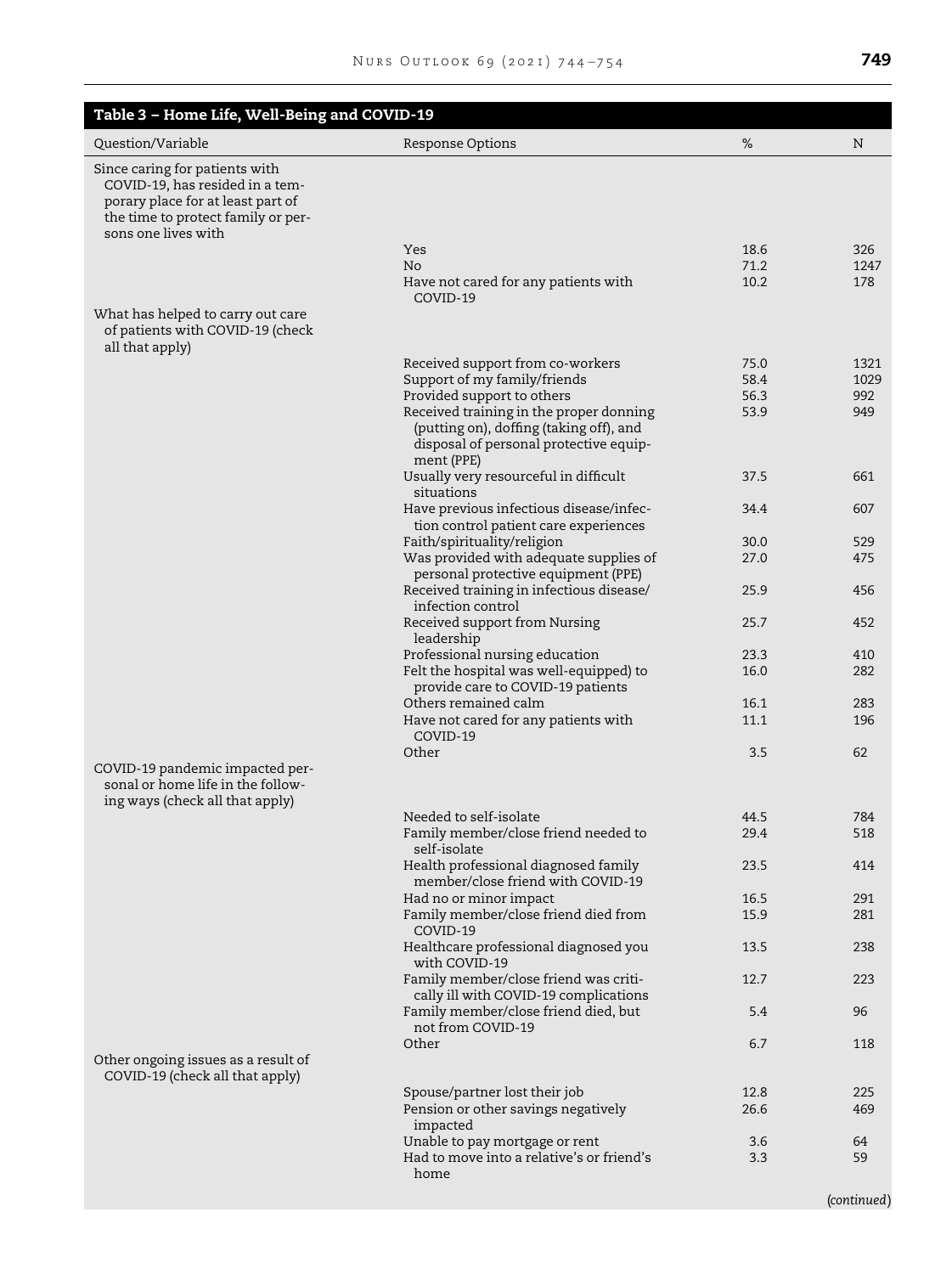<span id="page-5-0"></span>

| Table 3 - Home Life, Well-Being and COVID-19                                                                                                                        |                                                                                                                                            |              |             |
|---------------------------------------------------------------------------------------------------------------------------------------------------------------------|--------------------------------------------------------------------------------------------------------------------------------------------|--------------|-------------|
| Question/Variable                                                                                                                                                   | Response Options                                                                                                                           | %            | N           |
| Since caring for patients with<br>COVID-19, has resided in a tem-<br>porary place for at least part of<br>the time to protect family or per-<br>sons one lives with |                                                                                                                                            |              |             |
|                                                                                                                                                                     | Yes                                                                                                                                        | 18.6         | 326         |
|                                                                                                                                                                     | No.<br>Have not cared for any patients with                                                                                                | 71.2<br>10.2 | 1247<br>178 |
|                                                                                                                                                                     | COVID-19                                                                                                                                   |              |             |
| What has helped to carry out care<br>of patients with COVID-19 (check<br>all that apply)                                                                            |                                                                                                                                            |              |             |
|                                                                                                                                                                     | Received support from co-workers                                                                                                           | 75.0         | 1321        |
|                                                                                                                                                                     | Support of my family/friends                                                                                                               | 58.4         | 1029        |
|                                                                                                                                                                     | Provided support to others                                                                                                                 | 56.3         | 992         |
|                                                                                                                                                                     | Received training in the proper donning<br>(putting on), doffing (taking off), and<br>disposal of personal protective equip-<br>ment (PPE) | 53.9         | 949         |
|                                                                                                                                                                     | Usually very resourceful in difficult<br>situations                                                                                        | 37.5         | 661         |
|                                                                                                                                                                     | Have previous infectious disease/infec-<br>tion control patient care experiences                                                           | 34.4         | 607         |
|                                                                                                                                                                     | Faith/spirituality/religion                                                                                                                | 30.0         | 529         |
|                                                                                                                                                                     | Was provided with adequate supplies of                                                                                                     | 27.0         | 475         |
|                                                                                                                                                                     | personal protective equipment (PPE)                                                                                                        |              |             |
|                                                                                                                                                                     | Received training in infectious disease/<br>infection control                                                                              | 25.9         | 456         |
|                                                                                                                                                                     | Received support from Nursing<br>leadership                                                                                                | 25.7         | 452         |
|                                                                                                                                                                     | Professional nursing education                                                                                                             | 23.3         | 410         |
|                                                                                                                                                                     | Felt the hospital was well-equipped) to<br>provide care to COVID-19 patients                                                               | 16.0         | 282         |
|                                                                                                                                                                     | Others remained calm                                                                                                                       | 16.1         | 283         |
|                                                                                                                                                                     | Have not cared for any patients with<br>COVID-19                                                                                           | 11.1         | 196         |
| COVID-19 pandemic impacted per-                                                                                                                                     | Other                                                                                                                                      | 3.5          | 62          |
| sonal or home life in the follow-<br>ing ways (check all that apply)                                                                                                |                                                                                                                                            |              |             |
|                                                                                                                                                                     | Needed to self-isolate                                                                                                                     | 44.5         | 784         |
|                                                                                                                                                                     | Family member/close friend needed to<br>self-isolate                                                                                       | 29.4         | 518         |
|                                                                                                                                                                     | Health professional diagnosed family<br>member/close friend with COVID-19                                                                  | 23.5         | 414         |
|                                                                                                                                                                     | Had no or minor impact                                                                                                                     | 16.5         | 291         |
|                                                                                                                                                                     | Family member/close friend died from<br>COVID-19                                                                                           | 15.9         | 281         |
|                                                                                                                                                                     | Healthcare professional diagnosed you<br>with COVID-19                                                                                     | 13.5         | 238         |
|                                                                                                                                                                     | Family member/close friend was criti-<br>cally ill with COVID-19 complications                                                             | 12.7         | 223         |
|                                                                                                                                                                     | Family member/close friend died, but<br>not from COVID-19                                                                                  | 5.4          | 96          |
|                                                                                                                                                                     | Other                                                                                                                                      | 6.7          | 118         |
| Other ongoing issues as a result of<br>COVID-19 (check all that apply)                                                                                              |                                                                                                                                            |              |             |
|                                                                                                                                                                     | Spouse/partner lost their job                                                                                                              | 12.8         | 225         |
|                                                                                                                                                                     | Pension or other savings negatively<br>impacted                                                                                            | 26.6         | 469         |
|                                                                                                                                                                     | Unable to pay mortgage or rent                                                                                                             | 3.6          | 64          |
|                                                                                                                                                                     | Had to move into a relative's or friend's<br>home                                                                                          | 3.3          | 59          |
|                                                                                                                                                                     |                                                                                                                                            |              | (continued) |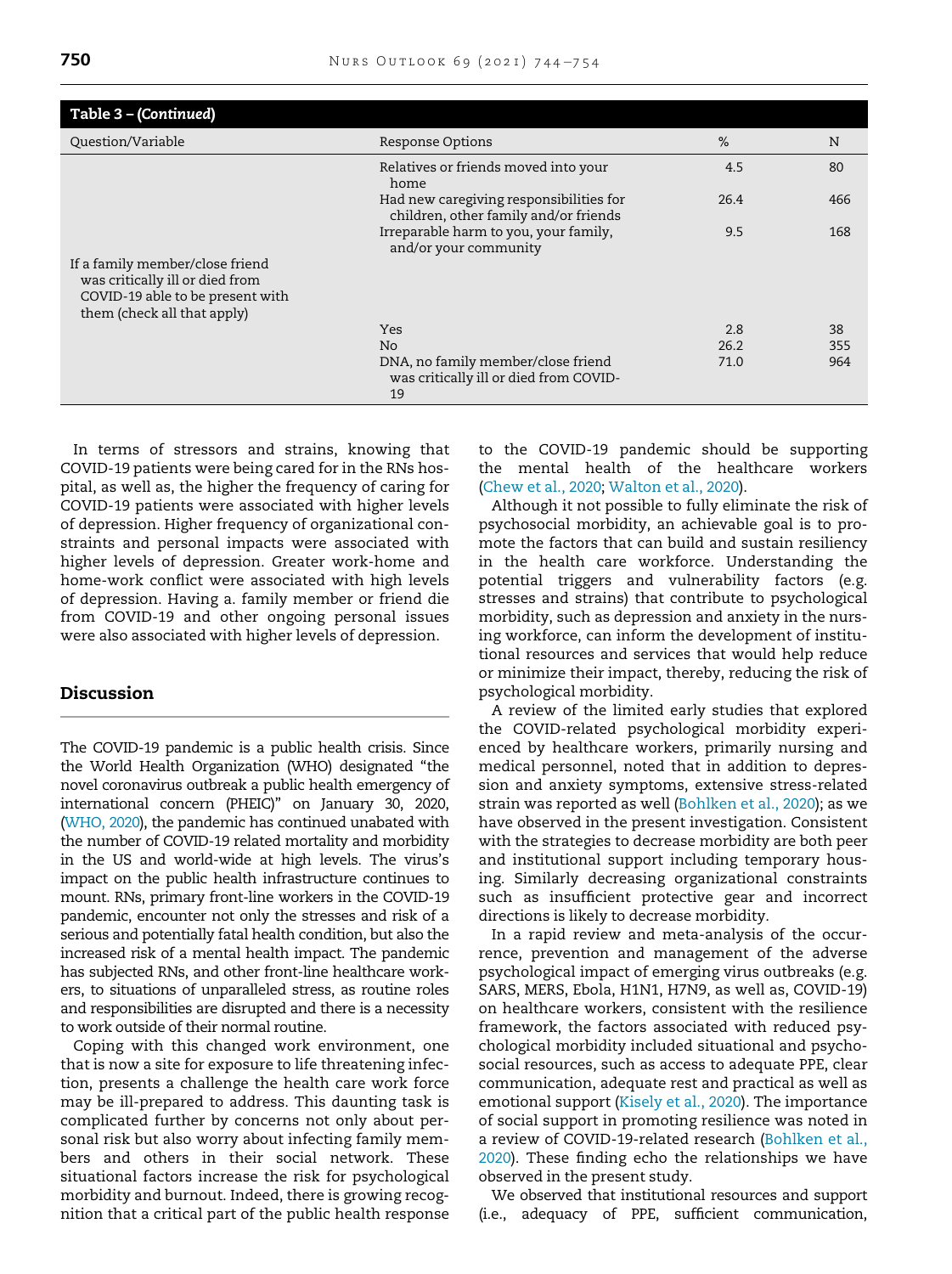| Table 3 - (Continued)                                              |                                                                                    |      |     |
|--------------------------------------------------------------------|------------------------------------------------------------------------------------|------|-----|
| Question/Variable                                                  | <b>Response Options</b>                                                            | %    | N   |
|                                                                    | Relatives or friends moved into your<br>home                                       | 4.5  | 80  |
|                                                                    | Had new caregiving responsibilities for<br>children, other family and/or friends   | 26.4 | 466 |
|                                                                    | Irreparable harm to you, your family,<br>and/or your community                     | 9.5  | 168 |
| If a family member/close friend<br>was critically ill or died from |                                                                                    |      |     |
| COVID-19 able to be present with<br>them (check all that apply)    |                                                                                    |      |     |
|                                                                    | <b>Yes</b>                                                                         | 2.8  | 38  |
|                                                                    | No.                                                                                | 26.2 | 355 |
|                                                                    | DNA, no family member/close friend<br>was critically ill or died from COVID-<br>19 | 71.0 | 964 |

In terms of stressors and strains, knowing that COVID-19 patients were being cared for in the RNs hospital, as well as, the higher the frequency of caring for COVID-19 patients were associated with higher levels of depression. Higher frequency of organizational constraints and personal impacts were associated with higher levels of depression. Greater work-home and home-work conflict were associated with high levels of depression. Having a. family member or friend die from COVID-19 and other ongoing personal issues were also associated with higher levels of depression.

# Discussion

The COVID-19 pandemic is a public health crisis. Since the World Health Organization (WHO) designated "the novel coronavirus outbreak a public health emergency of international concern (PHEIC)" on January 30, 2020, ([WHO, 2020\)](#page-10-20), the pandemic has continued unabated with the number of COVID-19 related mortality and morbidity in the US and world-wide at high levels. The virus's impact on the public health infrastructure continues to mount. RNs, primary front-line workers in the COVID-19 pandemic, encounter not only the stresses and risk of a serious and potentially fatal health condition, but also the increased risk of a mental health impact. The pandemic has subjected RNs, and other front-line healthcare workers, to situations of unparalleled stress, as routine roles and responsibilities are disrupted and there is a necessity to work outside of their normal routine.

Coping with this changed work environment, one that is now a site for exposure to life threatening infection, presents a challenge the health care work force may be ill-prepared to address. This daunting task is complicated further by concerns not only about personal risk but also worry about infecting family members and others in their social network. These situational factors increase the risk for psychological morbidity and burnout. Indeed, there is growing recognition that a critical part of the public health response to the COVID-19 pandemic should be supporting the mental health of the healthcare workers ([Chew et al., 2020;](#page-9-0) [Walton et al., 2020](#page-10-21)).

Although it not possible to fully eliminate the risk of psychosocial morbidity, an achievable goal is to promote the factors that can build and sustain resiliency in the health care workforce. Understanding the potential triggers and vulnerability factors (e.g. stresses and strains) that contribute to psychological morbidity, such as depression and anxiety in the nursing workforce, can inform the development of institutional resources and services that would help reduce or minimize their impact, thereby, reducing the risk of psychological morbidity.

A review of the limited early studies that explored the COVID-related psychological morbidity experienced by healthcare workers, primarily nursing and medical personnel, noted that in addition to depression and anxiety symptoms, extensive stress-related strain was reported as well ([Bohlken et al., 2020\)](#page-9-1); as we have observed in the present investigation. Consistent with the strategies to decrease morbidity are both peer and institutional support including temporary housing. Similarly decreasing organizational constraints such as insufficient protective gear and incorrect directions is likely to decrease morbidity.

In a rapid review and meta-analysis of the occurrence, prevention and management of the adverse psychological impact of emerging virus outbreaks (e.g. SARS, MERS, Ebola, H1N1, H7N9, as well as, COVID-19) on healthcare workers, consistent with the resilience framework, the factors associated with reduced psychological morbidity included situational and psychosocial resources, such as access to adequate PPE, clear communication, adequate rest and practical as well as emotional support ([Kisely et al., 2020\)](#page-10-22). The importance of social support in promoting resilience was noted in a review of COVID-19-related research ([Bohlken et al.,](#page-9-1) [2020\)](#page-9-1). These finding echo the relationships we have observed in the present study.

We observed that institutional resources and support (i.e., adequacy of PPE, sufficient communication,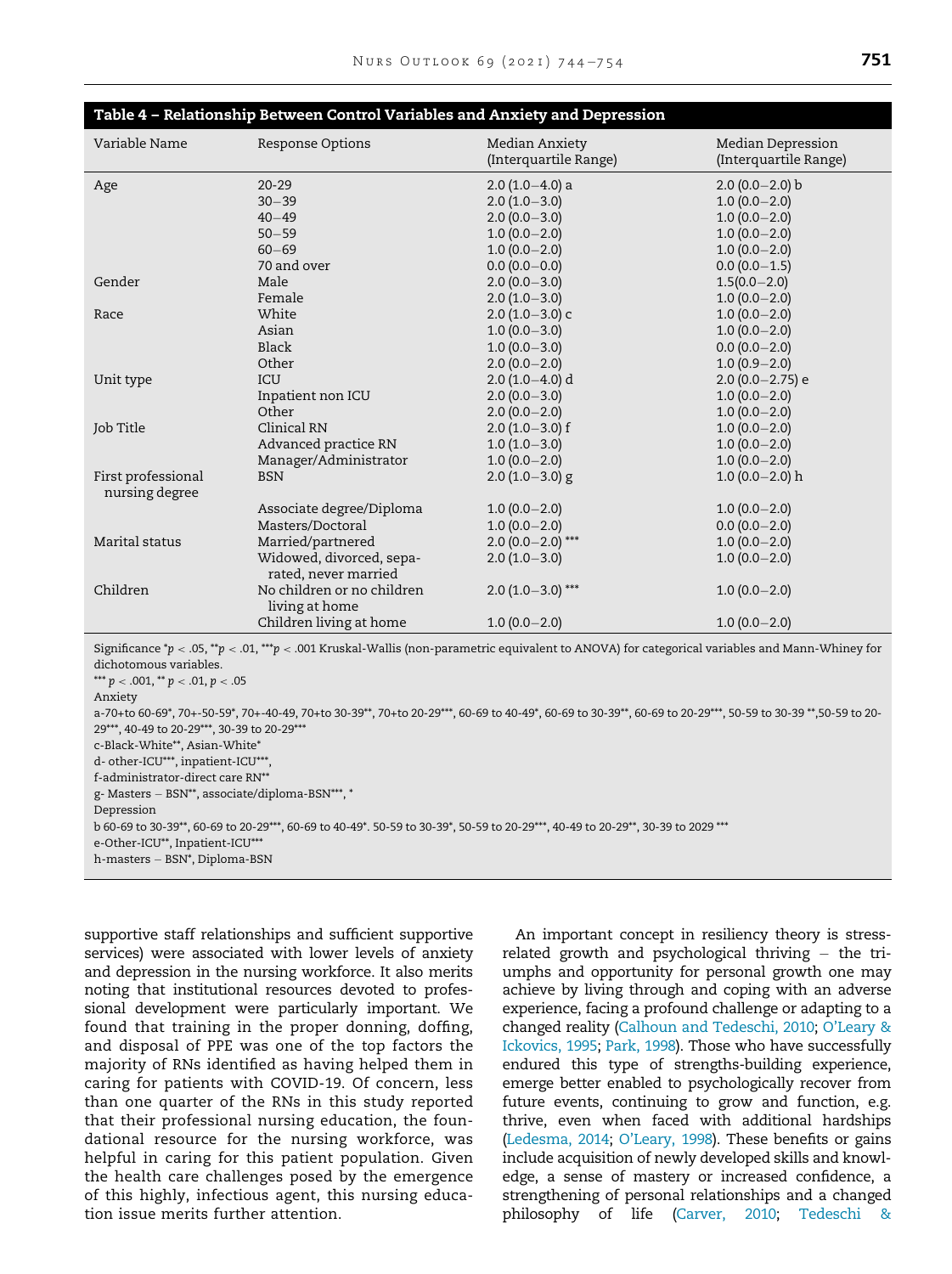<span id="page-7-0"></span>

| Table 4 – Relationship Between Control Variables and Anxiety and Depression |                            |                                         |                                            |  |
|-----------------------------------------------------------------------------|----------------------------|-----------------------------------------|--------------------------------------------|--|
| Variable Name                                                               | <b>Response Options</b>    | Median Anxiety<br>(Interquartile Range) | Median Depression<br>(Interquartile Range) |  |
| Age                                                                         | $20 - 29$                  | $2.0(1.0-4.0)$ a                        | $2.0(0.0-2.0)b$                            |  |
|                                                                             | $30 - 39$                  | $2.0(1.0-3.0)$                          | $1.0(0.0-2.0)$                             |  |
|                                                                             | $40 - 49$                  | $2.0(0.0-3.0)$                          | $1.0(0.0-2.0)$                             |  |
|                                                                             | $50 - 59$                  | $1.0(0.0-2.0)$                          | $1.0(0.0-2.0)$                             |  |
|                                                                             | $60 - 69$                  | $1.0(0.0-2.0)$                          | $1.0(0.0-2.0)$                             |  |
|                                                                             | 70 and over                | $0.0(0.0-0.0)$                          | $0.0(0.0-1.5)$                             |  |
| Gender                                                                      | Male                       | $2.0(0.0-3.0)$                          | $1.5(0.0-2.0)$                             |  |
|                                                                             | Female                     | $2.0(1.0-3.0)$                          | $1.0(0.0-2.0)$                             |  |
| Race                                                                        | White                      | $2.0(1.0-3.0)$ c                        | $1.0(0.0-2.0)$                             |  |
|                                                                             | Asian                      | $1.0(0.0-3.0)$                          | $1.0(0.0-2.0)$                             |  |
|                                                                             | Black                      | $1.0(0.0 - 3.0)$                        | $0.0(0.0-2.0)$                             |  |
|                                                                             | Other                      | $2.0(0.0-2.0)$                          | $1.0(0.9 - 2.0)$                           |  |
| Unit type                                                                   | ICU                        | $2.0(1.0-4.0)$ d                        | $2.0(0.0-2.75)$ e                          |  |
|                                                                             | Inpatient non ICU          | $2.0(0.0-3.0)$                          | $1.0(0.0-2.0)$                             |  |
|                                                                             | Other                      | $2.0(0.0-2.0)$                          | $1.0(0.0-2.0)$                             |  |
| Job Title                                                                   | Clinical RN                | $2.0(1.0-3.0)$ f                        | $1.0(0.0-2.0)$                             |  |
|                                                                             | Advanced practice RN       | $1.0(1.0-3.0)$                          | $1.0(0.0-2.0)$                             |  |
|                                                                             | Manager/Administrator      | $1.0(0.0-2.0)$                          | $1.0(0.0-2.0)$                             |  |
| First professional<br>nursing degree                                        | <b>BSN</b>                 | $2.0$ (1.0 $-3.0$ ) g                   | $1.0(0.0-2.0)$ h                           |  |
|                                                                             | Associate degree/Diploma   | $1.0(0.0-2.0)$                          | $1.0(0.0-2.0)$                             |  |
|                                                                             | Masters/Doctoral           | $1.0(0.0-2.0)$                          | $0.0(0.0-2.0)$                             |  |
| Marital status                                                              | Married/partnered          | $2.0(0.0-2.0***$                        | $1.0(0.0-2.0)$                             |  |
|                                                                             | Widowed, divorced, sepa-   | $2.0(1.0-3.0)$                          | $1.0(0.0-2.0)$                             |  |
|                                                                             | rated, never married       |                                         |                                            |  |
| Children                                                                    | No children or no children | $2.0(1.0-3.0)$ ***                      | $1.0(0.0-2.0)$                             |  |
|                                                                             | living at home             |                                         |                                            |  |
|                                                                             | Children living at home    | $1.0(0.0-2.0)$                          | $1.0(0.0-2.0)$                             |  |

Significance  $\gamma$  < .05,  $\gamma$  < .01,  $\gamma$ + $\gamma$  < .001 Kruskal-Wallis (non-parametric equivalent to ANOVA) for categorical variables and Mann-Whiney for dichotomous variables.

\*\*\*  $p < .001$ , \*\*  $p < .01$ ,  $p < .05$ Anxiety a-70+to 60-69\*, 70+-50-59\*, 70+-40-49, 70+to 30-39\*\*, 70+to 20-29\*\*\*, 60-69 to 40-49\*, 60-69 to 30-39\*\*, 60-69 to 20-29\*\*\*, 50-59 to 30-39 \*\*,50-59 to 20- 29\*\*\*, 40-49 to 20-29\*\*\*, 30-39 to 20-29\*\*\* c-Black-White\*\*, Asian-White\* d- other-ICU\*\*\*, inpatient-ICU\*\*\*, f-administrator-direct care RN\*\* g- Masters - BSN\*\*, associate/diploma-BSN\*\*\*, \* Depression b 60-69 to 30-39\*\*, 60-69 to 20-29\*\*\*, 60-69 to 40-49\*. 50-59 to 30-39\*, 50-59 to 20-29\*\*\*, 40-49 to 20-29\*\*, 30-39 to 2029 \*\*\* e-Other-ICU\*\*, Inpatient-ICU\*\*\* h-masters - BSN<sup>\*</sup>, Diploma-BSN

supportive staff relationships and sufficient supportive services) were associated with lower levels of anxiety and depression in the nursing workforce. It also merits noting that institutional resources devoted to professional development were particularly important. We found that training in the proper donning, doffing, and disposal of PPE was one of the top factors the majority of RNs identified as having helped them in caring for patients with COVID-19. Of concern, less than one quarter of the RNs in this study reported that their professional nursing education, the foundational resource for the nursing workforce, was helpful in caring for this patient population. Given the health care challenges posed by the emergence of this highly, infectious agent, this nursing education issue merits further attention.

An important concept in resiliency theory is stressrelated growth and psychological thriving  $-$  the triumphs and opportunity for personal growth one may achieve by living through and coping with an adverse experience, facing a profound challenge or adapting to a changed reality [\(Calhoun and Tedeschi, 2010](#page-9-2); [O](#page-10-23)'[Leary &](#page-10-23) [Ickovics, 1995](#page-10-23); [Park, 1998](#page-10-24)). Those who have successfully endured this type of strengths-building experience, emerge better enabled to psychologically recover from future events, continuing to grow and function, e.g. thrive, even when faced with additional hardships [\(Ledesma, 2014](#page-10-25); [O](#page-10-26)'[Leary, 1998\)](#page-10-26). These benefits or gains include acquisition of newly developed skills and knowledge, a sense of mastery or increased confidence, a strengthening of personal relationships and a changed philosophy of life ([Carver, 2010;](#page-9-3) [Tedeschi &](#page-10-27)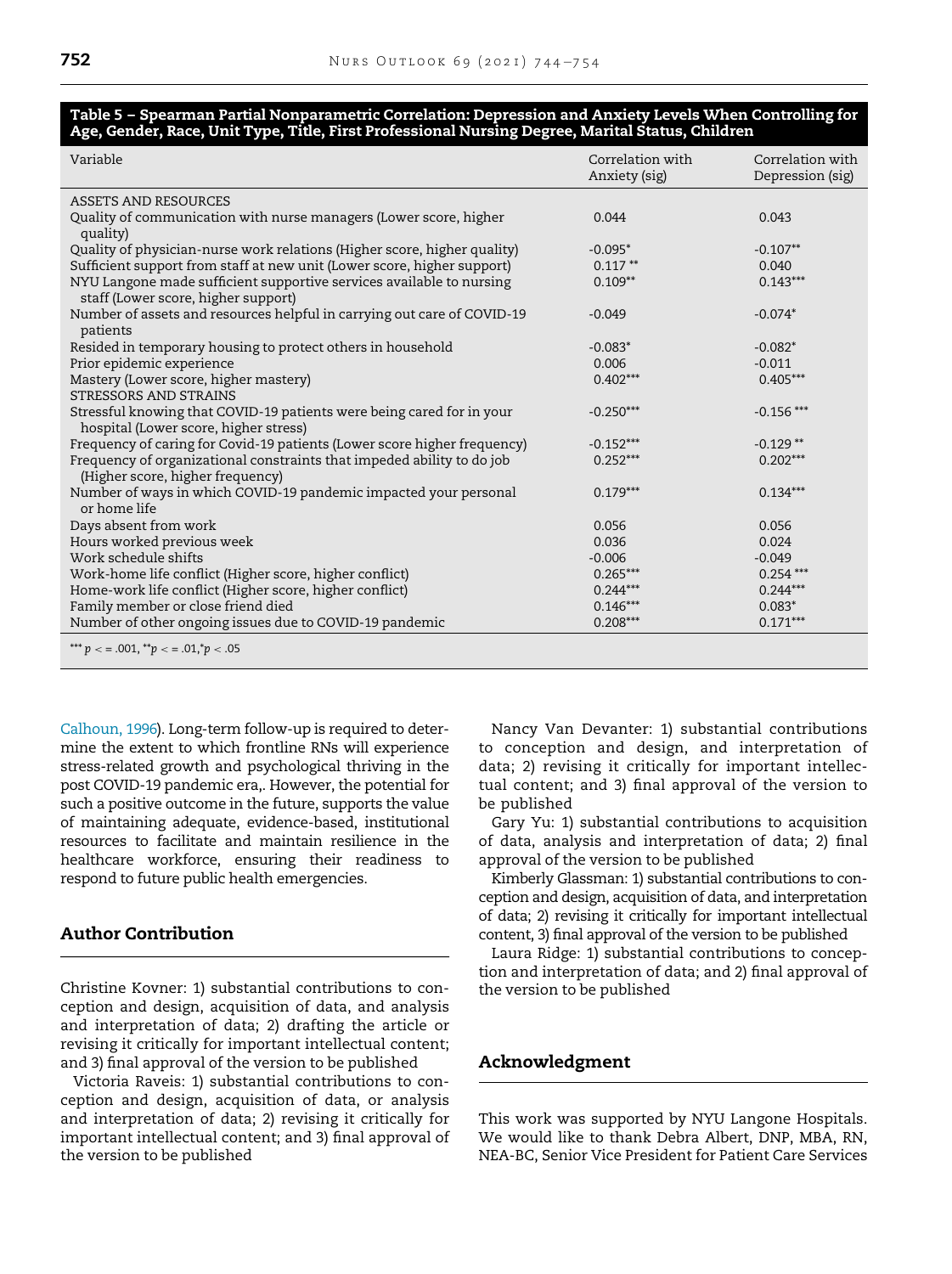## <span id="page-8-0"></span>Table 5 – Spearman Partial Nonparametric Correlation: Depression and Anxiety Levels When Controlling for Age, Gender, Race, Unit Type, Title, First Professional Nursing Degree, Marital Status, Children

| Variable                                                                                                       | Correlation with<br>Anxiety (sig) | Correlation with<br>Depression (sig) |
|----------------------------------------------------------------------------------------------------------------|-----------------------------------|--------------------------------------|
| ASSETS AND RESOURCES                                                                                           |                                   |                                      |
| Quality of communication with nurse managers (Lower score, higher<br>quality)                                  | 0.044                             | 0.043                                |
| Quality of physician-nurse work relations (Higher score, higher quality)                                       | $-0.095*$                         | $-0.107**$                           |
| Sufficient support from staff at new unit (Lower score, higher support)                                        | $0.117**$                         | 0.040                                |
| NYU Langone made sufficient supportive services available to nursing<br>staff (Lower score, higher support)    | $0.109**$                         | $0.143***$                           |
| Number of assets and resources helpful in carrying out care of COVID-19<br>patients                            | $-0.049$                          | $-0.074*$                            |
| Resided in temporary housing to protect others in household                                                    | $-0.083*$                         | $-0.082*$                            |
| Prior epidemic experience                                                                                      | 0.006                             | $-0.011$                             |
| Mastery (Lower score, higher mastery)                                                                          | $0.402***$                        | $0.405***$                           |
| STRESSORS AND STRAINS                                                                                          |                                   |                                      |
| Stressful knowing that COVID-19 patients were being cared for in your<br>hospital (Lower score, higher stress) | $-0.250***$                       | $-0.156$ ***                         |
| Frequency of caring for Covid-19 patients (Lower score higher frequency)                                       | $-0.152***$                       | $-0.129$ **                          |
| Frequency of organizational constraints that impeded ability to do job<br>(Higher score, higher frequency)     | $0.252***$                        | $0.202***$                           |
| Number of ways in which COVID-19 pandemic impacted your personal<br>or home life                               | $0.179***$                        | $0.134***$                           |
| Days absent from work                                                                                          | 0.056                             | 0.056                                |
| Hours worked previous week                                                                                     | 0.036                             | 0.024                                |
| Work schedule shifts                                                                                           | $-0.006$                          | $-0.049$                             |
| Work-home life conflict (Higher score, higher conflict)                                                        | $0.265***$                        | $0.254***$                           |
| Home-work life conflict (Higher score, higher conflict)                                                        | $0.244***$                        | $0.244***$                           |
| Family member or close friend died                                                                             | $0.146***$                        | $0.083*$                             |
| Number of other ongoing issues due to COVID-19 pandemic                                                        | $0.208***$                        | $0.171***$                           |
| *** $p <$ = .001, ** $p <$ = .01,* $p <$ 05                                                                    |                                   |                                      |

[Calhoun, 1996\)](#page-10-27). Long-term follow-up is required to determine the extent to which frontline RNs will experience stress-related growth and psychological thriving in the post COVID-19 pandemic era,. However, the potential for such a positive outcome in the future, supports the value of maintaining adequate, evidence-based, institutional resources to facilitate and maintain resilience in the healthcare workforce, ensuring their readiness to respond to future public health emergencies.

# Author Contribution

Christine Kovner: 1) substantial contributions to conception and design, acquisition of data, and analysis and interpretation of data; 2) drafting the article or revising it critically for important intellectual content; and 3) final approval of the version to be published

Victoria Raveis: 1) substantial contributions to conception and design, acquisition of data, or analysis and interpretation of data; 2) revising it critically for important intellectual content; and 3) final approval of the version to be published

Nancy Van Devanter: 1) substantial contributions to conception and design, and interpretation of data; 2) revising it critically for important intellectual content; and 3) final approval of the version to be published

Gary Yu: 1) substantial contributions to acquisition of data, analysis and interpretation of data; 2) final approval of the version to be published

Kimberly Glassman: 1) substantial contributions to conception and design, acquisition of data, and interpretation of data; 2) revising it critically for important intellectual content, 3) final approval of the version to be published

Laura Ridge: 1) substantial contributions to conception and interpretation of data; and 2) final approval of the version to be published

# Acknowledgment

This work was supported by NYU Langone Hospitals. We would like to thank Debra Albert, DNP, MBA, RN, NEA-BC, Senior Vice President for Patient Care Services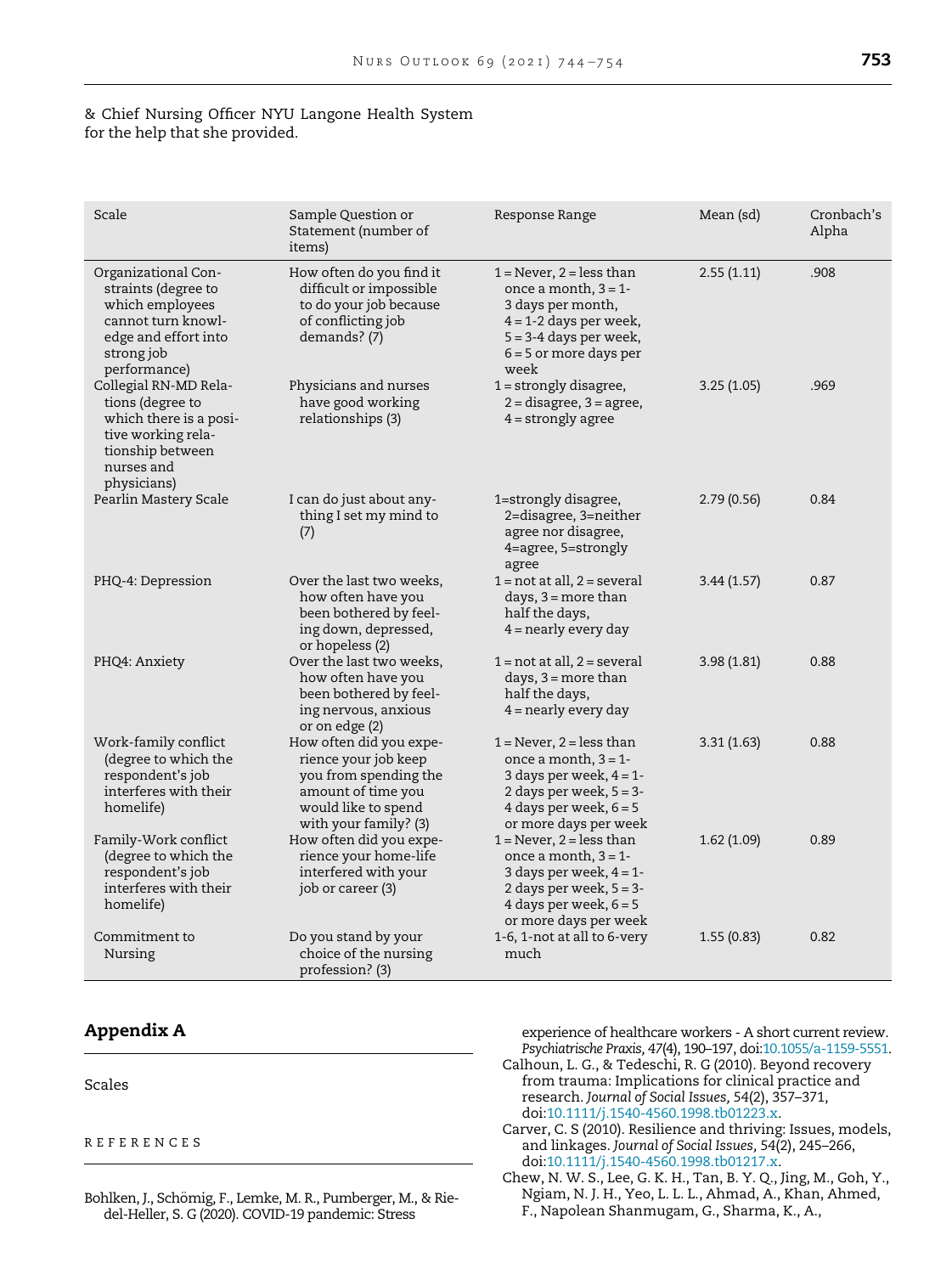## & Chief Nursing Officer NYU Langone Health System for the help that she provided.

| Scale                                                                                                                                      | Sample Question or<br>Statement (number of<br>items)                                                                                           | Response Range                                                                                                                                                             | Mean (sd)   | Cronbach's<br>Alpha |
|--------------------------------------------------------------------------------------------------------------------------------------------|------------------------------------------------------------------------------------------------------------------------------------------------|----------------------------------------------------------------------------------------------------------------------------------------------------------------------------|-------------|---------------------|
| Organizational Con-<br>straints (degree to<br>which employees<br>cannot turn knowl-<br>edge and effort into<br>strong job<br>performance)  | How often do you find it<br>difficult or impossible<br>to do your job because<br>of conflicting job<br>demands? (7)                            | $1 =$ Never, $2 =$ less than<br>once a month, $3 = 1$ -<br>3 days per month,<br>$4 = 1 - 2$ days per week,<br>$5 = 3-4$ days per week,<br>$6 = 5$ or more days per<br>week | 2.55(1.11)  | .908                |
| Collegial RN-MD Rela-<br>tions (degree to<br>which there is a posi-<br>tive working rela-<br>tionship between<br>nurses and<br>physicians) | Physicians and nurses<br>have good working<br>relationships (3)                                                                                | $1 =$ strongly disagree,<br>$2 =$ disagree, $3 =$ agree,<br>$4 =$ strongly agree                                                                                           | 3.25(1.05)  | .969                |
| Pearlin Mastery Scale                                                                                                                      | I can do just about any-<br>thing I set my mind to<br>(7)                                                                                      | 1=strongly disagree,<br>2=disagree, 3=neither<br>agree nor disagree,<br>4=agree, 5=strongly<br>agree                                                                       | 2.79(0.56)  | 0.84                |
| PHQ-4: Depression                                                                                                                          | Over the last two weeks,<br>how often have you<br>been bothered by feel-<br>ing down, depressed,<br>or hopeless (2)                            | $1 = not at all, 2 = several$<br>days, $3 = more than$<br>half the days,<br>$4$ = nearly every day                                                                         | 3.44(1.57)  | 0.87                |
| PHQ4: Anxiety                                                                                                                              | Over the last two weeks,<br>how often have you<br>been bothered by feel-<br>ing nervous, anxious<br>or on edge (2)                             | $1 = not at all, 2 = several$<br>days, $3 = more than$<br>half the days,<br>$4$ = nearly every day                                                                         | 3.98(1.81)  | 0.88                |
| Work-family conflict<br>(degree to which the<br>respondent's job<br>interferes with their<br>homelife)                                     | How often did you expe-<br>rience your job keep<br>you from spending the<br>amount of time you<br>would like to spend<br>with your family? (3) | $1 =$ Never, 2 = less than<br>once a month, $3 = 1$ -<br>3 days per week, $4 = 1$ -<br>2 days per week, $5 = 3$ -<br>4 days per week, $6 = 5$<br>or more days per week     | 3.31 (1.63) | 0.88                |
| Family-Work conflict<br>(degree to which the<br>respondent's job<br>interferes with their<br>homelife)                                     | How often did you expe-<br>rience your home-life<br>interfered with your<br>job or career (3)                                                  | $1 =$ Never, $2 =$ less than<br>once a month, $3 = 1$ -<br>3 days per week, $4 = 1$ -<br>2 days per week, $5 = 3$ -<br>4 days per week, $6 = 5$<br>or more days per week   | 1.62(1.09)  | 0.89                |
| Commitment to<br>Nursing                                                                                                                   | Do you stand by your<br>choice of the nursing<br>profession? (3)                                                                               | 1-6, 1-not at all to 6-very<br>much                                                                                                                                        | 1.55(0.83)  | 0.82                |

# Appendix A

<span id="page-9-2"></span>Scales

## <span id="page-9-3"></span>REFERENCES

<span id="page-9-1"></span><span id="page-9-0"></span>Bohlken, J., Schömig, F., Lemke, M. R., Pumberger, M., & Riedel-Heller, S. G (2020). COVID-19 pandemic: Stress

experience of healthcare workers - A short current review. Psychiatrische Praxis, 47(4), 190–197, doi[:10.1055/a-1159-5551.](http://dx.doi.org/10.1055/a-1159-5551)

- Calhoun, L. G., & Tedeschi, R. G (2010). Beyond recovery from trauma: Implications for clinical practice and research. Journal of Social Issues, 54(2), 357–371, doi[:10.1111/j.1540-4560.1998.tb01223.x.](http://dx.doi.org/10.1111/j.1540-4560.1998.tb01223.x)
- Carver, C. S (2010). Resilience and thriving: Issues, models, and linkages. Journal of Social Issues, 54(2), 245–266, doi[:10.1111/j.1540-4560.1998.tb01217.x.](http://dx.doi.org/10.1111/j.1540-4560.1998.tb01217.x)
- Chew, N. W. S., Lee, G. K. H., Tan, B. Y. Q., Jing, M., Goh, Y., Ngiam, N. J. H., Yeo, L. L. L., Ahmad, A., Khan, Ahmed, F., Napolean Shanmugam, G., Sharma, K., A.,